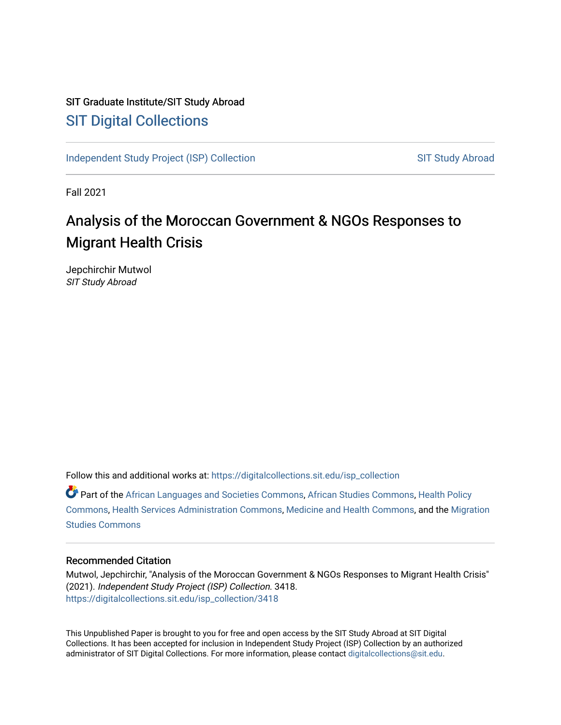## SIT Graduate Institute/SIT Study Abroad [SIT Digital Collections](https://digitalcollections.sit.edu/)

[Independent Study Project \(ISP\) Collection](https://digitalcollections.sit.edu/isp_collection) SIT Study Abroad

Fall 2021

# Analysis of the Moroccan Government & NGOs Responses to Migrant Health Crisis

Jepchirchir Mutwol SIT Study Abroad

Follow this and additional works at: [https://digitalcollections.sit.edu/isp\\_collection](https://digitalcollections.sit.edu/isp_collection?utm_source=digitalcollections.sit.edu%2Fisp_collection%2F3418&utm_medium=PDF&utm_campaign=PDFCoverPages) 

Part of the [African Languages and Societies Commons,](https://network.bepress.com/hgg/discipline/476?utm_source=digitalcollections.sit.edu%2Fisp_collection%2F3418&utm_medium=PDF&utm_campaign=PDFCoverPages) [African Studies Commons](https://network.bepress.com/hgg/discipline/1043?utm_source=digitalcollections.sit.edu%2Fisp_collection%2F3418&utm_medium=PDF&utm_campaign=PDFCoverPages), [Health Policy](https://network.bepress.com/hgg/discipline/395?utm_source=digitalcollections.sit.edu%2Fisp_collection%2F3418&utm_medium=PDF&utm_campaign=PDFCoverPages) [Commons](https://network.bepress.com/hgg/discipline/395?utm_source=digitalcollections.sit.edu%2Fisp_collection%2F3418&utm_medium=PDF&utm_campaign=PDFCoverPages), [Health Services Administration Commons](https://network.bepress.com/hgg/discipline/747?utm_source=digitalcollections.sit.edu%2Fisp_collection%2F3418&utm_medium=PDF&utm_campaign=PDFCoverPages), [Medicine and Health Commons](https://network.bepress.com/hgg/discipline/422?utm_source=digitalcollections.sit.edu%2Fisp_collection%2F3418&utm_medium=PDF&utm_campaign=PDFCoverPages), and the [Migration](https://network.bepress.com/hgg/discipline/1394?utm_source=digitalcollections.sit.edu%2Fisp_collection%2F3418&utm_medium=PDF&utm_campaign=PDFCoverPages)  [Studies Commons](https://network.bepress.com/hgg/discipline/1394?utm_source=digitalcollections.sit.edu%2Fisp_collection%2F3418&utm_medium=PDF&utm_campaign=PDFCoverPages) 

#### Recommended Citation

Mutwol, Jepchirchir, "Analysis of the Moroccan Government & NGOs Responses to Migrant Health Crisis" (2021). Independent Study Project (ISP) Collection. 3418. [https://digitalcollections.sit.edu/isp\\_collection/3418](https://digitalcollections.sit.edu/isp_collection/3418?utm_source=digitalcollections.sit.edu%2Fisp_collection%2F3418&utm_medium=PDF&utm_campaign=PDFCoverPages) 

This Unpublished Paper is brought to you for free and open access by the SIT Study Abroad at SIT Digital Collections. It has been accepted for inclusion in Independent Study Project (ISP) Collection by an authorized administrator of SIT Digital Collections. For more information, please contact [digitalcollections@sit.edu](mailto:digitalcollections@sit.edu).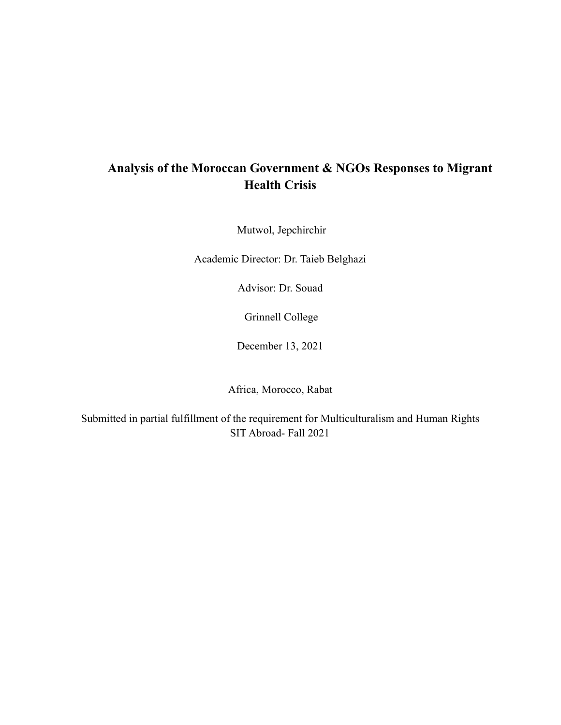## **Analysis of the Moroccan Government & NGOs Responses to Migrant Health Crisis**

Mutwol, Jepchirchir

Academic Director: Dr. Taieb Belghazi

Advisor: Dr. Souad

Grinnell College

December 13, 2021

Africa, Morocco, Rabat

Submitted in partial fulfillment of the requirement for Multiculturalism and Human Rights SIT Abroad- Fall 2021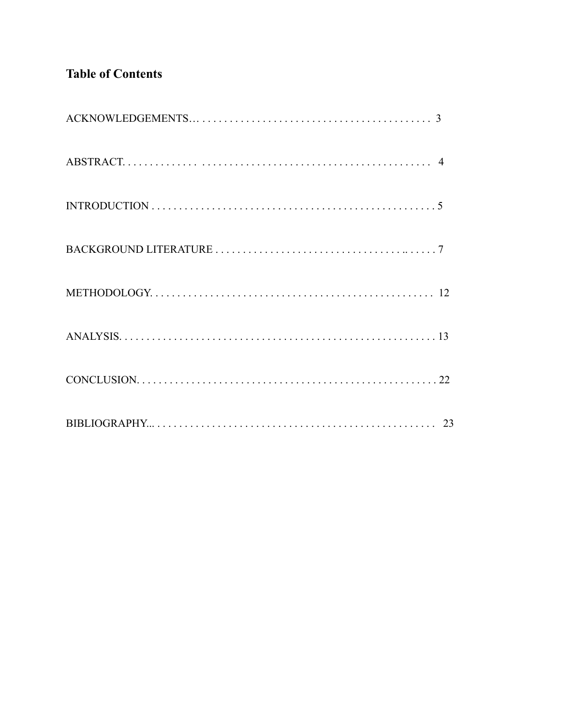## **Table of Contents**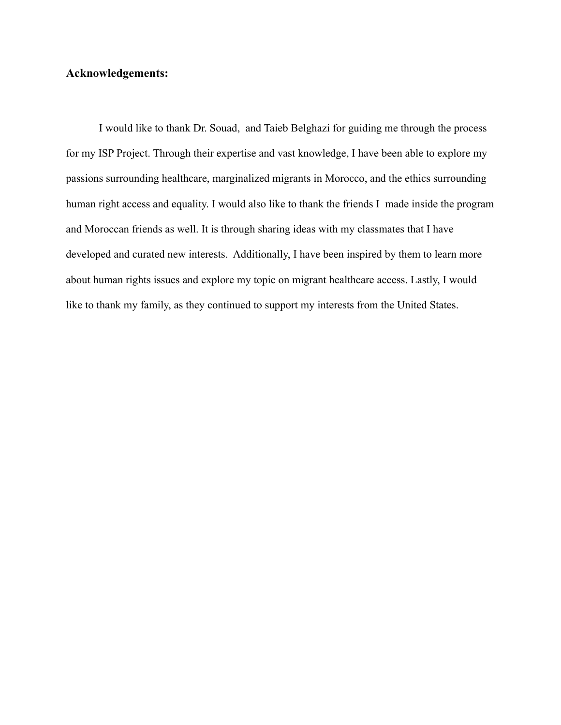### **Acknowledgements:**

I would like to thank Dr. Souad, and Taieb Belghazi for guiding me through the process for my ISP Project. Through their expertise and vast knowledge, I have been able to explore my passions surrounding healthcare, marginalized migrants in Morocco, and the ethics surrounding human right access and equality. I would also like to thank the friends I made inside the program and Moroccan friends as well. It is through sharing ideas with my classmates that I have developed and curated new interests. Additionally, I have been inspired by them to learn more about human rights issues and explore my topic on migrant healthcare access. Lastly, I would like to thank my family, as they continued to support my interests from the United States.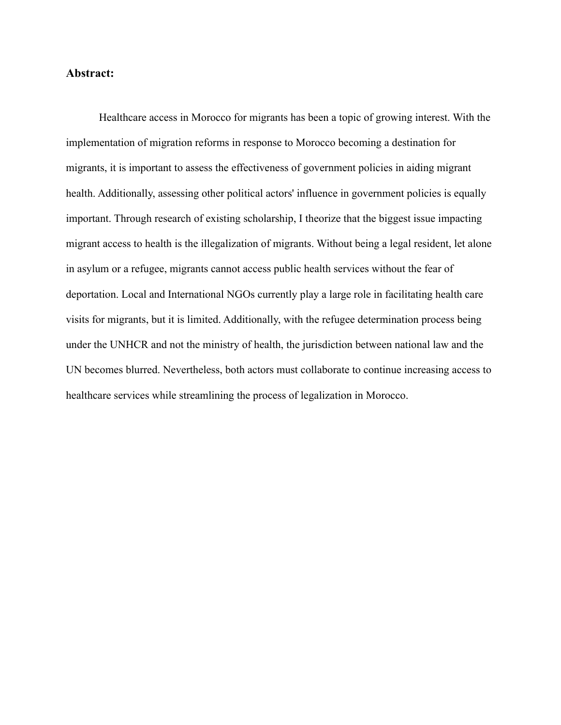### **Abstract:**

Healthcare access in Morocco for migrants has been a topic of growing interest. With the implementation of migration reforms in response to Morocco becoming a destination for migrants, it is important to assess the effectiveness of government policies in aiding migrant health. Additionally, assessing other political actors' influence in government policies is equally important. Through research of existing scholarship, I theorize that the biggest issue impacting migrant access to health is the illegalization of migrants. Without being a legal resident, let alone in asylum or a refugee, migrants cannot access public health services without the fear of deportation. Local and International NGOs currently play a large role in facilitating health care visits for migrants, but it is limited. Additionally, with the refugee determination process being under the UNHCR and not the ministry of health, the jurisdiction between national law and the UN becomes blurred. Nevertheless, both actors must collaborate to continue increasing access to healthcare services while streamlining the process of legalization in Morocco.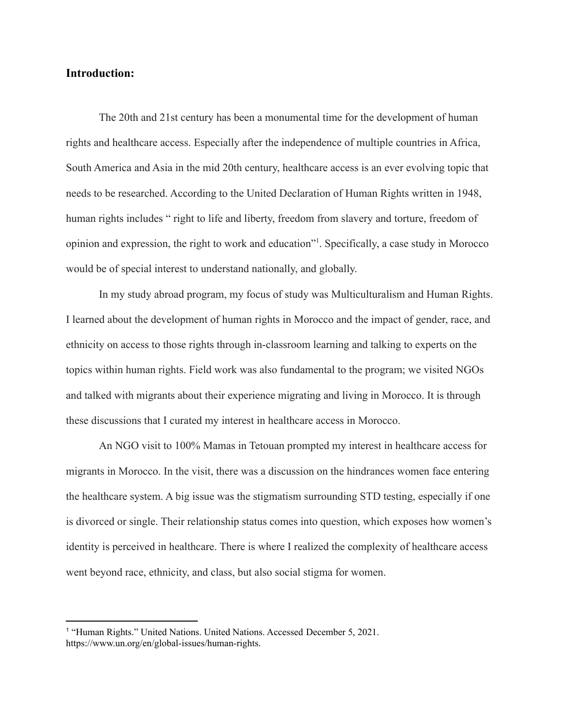### **Introduction:**

The 20th and 21st century has been a monumental time for the development of human rights and healthcare access. Especially after the independence of multiple countries in Africa, South America and Asia in the mid 20th century, healthcare access is an ever evolving topic that needs to be researched. According to the United Declaration of Human Rights written in 1948, human rights includes " right to life and liberty, freedom from slavery and torture, freedom of opinion and expression, the right to work and education"<sup>1</sup> . Specifically, a case study in Morocco would be of special interest to understand nationally, and globally.

In my study abroad program, my focus of study was Multiculturalism and Human Rights. I learned about the development of human rights in Morocco and the impact of gender, race, and ethnicity on access to those rights through in-classroom learning and talking to experts on the topics within human rights. Field work was also fundamental to the program; we visited NGOs and talked with migrants about their experience migrating and living in Morocco. It is through these discussions that I curated my interest in healthcare access in Morocco.

An NGO visit to 100% Mamas in Tetouan prompted my interest in healthcare access for migrants in Morocco. In the visit, there was a discussion on the hindrances women face entering the healthcare system. A big issue was the stigmatism surrounding STD testing, especially if one is divorced or single. Their relationship status comes into question, which exposes how women's identity is perceived in healthcare. There is where I realized the complexity of healthcare access went beyond race, ethnicity, and class, but also social stigma for women.

<sup>&</sup>lt;sup>1</sup> "Human Rights." United Nations. United Nations. Accessed December 5, 2021. https://www.un.org/en/global-issues/human-rights.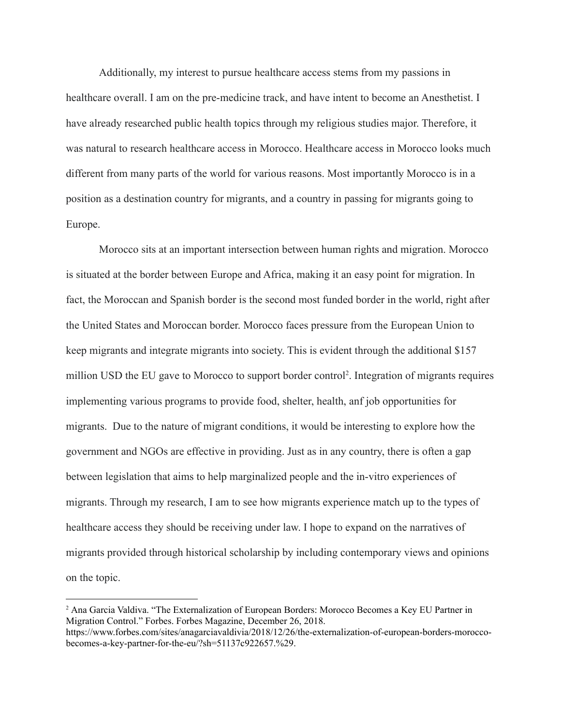Additionally, my interest to pursue healthcare access stems from my passions in healthcare overall. I am on the pre-medicine track, and have intent to become an Anesthetist. I have already researched public health topics through my religious studies major. Therefore, it was natural to research healthcare access in Morocco. Healthcare access in Morocco looks much different from many parts of the world for various reasons. Most importantly Morocco is in a position as a destination country for migrants, and a country in passing for migrants going to Europe.

Morocco sits at an important intersection between human rights and migration. Morocco is situated at the border between Europe and Africa, making it an easy point for migration. In fact, the Moroccan and Spanish border is the second most funded border in the world, right after the United States and Moroccan border. Morocco faces pressure from the European Union to keep migrants and integrate migrants into society. This is evident through the additional \$157 million USD the EU gave to Morocco to support border control<sup>2</sup>. Integration of migrants requires implementing various programs to provide food, shelter, health, anf job opportunities for migrants. Due to the nature of migrant conditions, it would be interesting to explore how the government and NGOs are effective in providing. Just as in any country, there is often a gap between legislation that aims to help marginalized people and the in-vitro experiences of migrants. Through my research, I am to see how migrants experience match up to the types of healthcare access they should be receiving under law. I hope to expand on the narratives of migrants provided through historical scholarship by including contemporary views and opinions on the topic.

<sup>2</sup> Ana Garcia Valdiva. "The Externalization of European Borders: Morocco Becomes a Key EU Partner in Migration Control." Forbes. Forbes Magazine, December 26, 2018. https://www.forbes.com/sites/anagarciavaldivia/2018/12/26/the-externalization-of-european-borders-moroccobecomes-a-key-partner-for-the-eu/?sh=51137c922657.%29.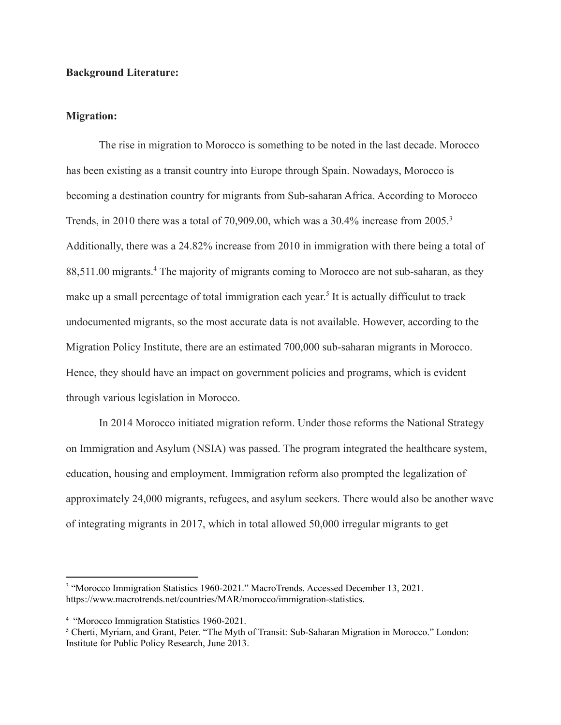#### **Background Literature:**

#### **Migration:**

The rise in migration to Morocco is something to be noted in the last decade. Morocco has been existing as a transit country into Europe through Spain. Nowadays, Morocco is becoming a destination country for migrants from Sub-saharan Africa. According to Morocco Trends, in 2010 there was a total of 70,909.00, which was a 30.4% increase from 2005.<sup>3</sup> Additionally, there was a 24.82% increase from 2010 in immigration with there being a total of 88,511.00 migrants.<sup>4</sup> The majority of migrants coming to Morocco are not sub-saharan, as they make up a small percentage of total immigration each year.<sup>5</sup> It is actually difficulut to track undocumented migrants, so the most accurate data is not available. However, according to the Migration Policy Institute, there are an estimated 700,000 sub-saharan migrants in Morocco. Hence, they should have an impact on government policies and programs, which is evident through various legislation in Morocco.

In 2014 Morocco initiated migration reform. Under those reforms the National Strategy on Immigration and Asylum (NSIA) was passed. The program integrated the healthcare system, education, housing and employment. Immigration reform also prompted the legalization of approximately 24,000 migrants, refugees, and asylum seekers. There would also be another wave of integrating migrants in 2017, which in total allowed 50,000 irregular migrants to get

<sup>&</sup>lt;sup>3</sup> "Morocco Immigration Statistics 1960-2021." MacroTrends. Accessed December 13, 2021. https://www.macrotrends.net/countries/MAR/morocco/immigration-statistics.

<sup>4</sup> "Morocco Immigration Statistics 1960-2021.

<sup>5</sup> Cherti, Myriam, and Grant, Peter. "The Myth of Transit: Sub-Saharan Migration in Morocco." London: Institute for Public Policy Research, June 2013.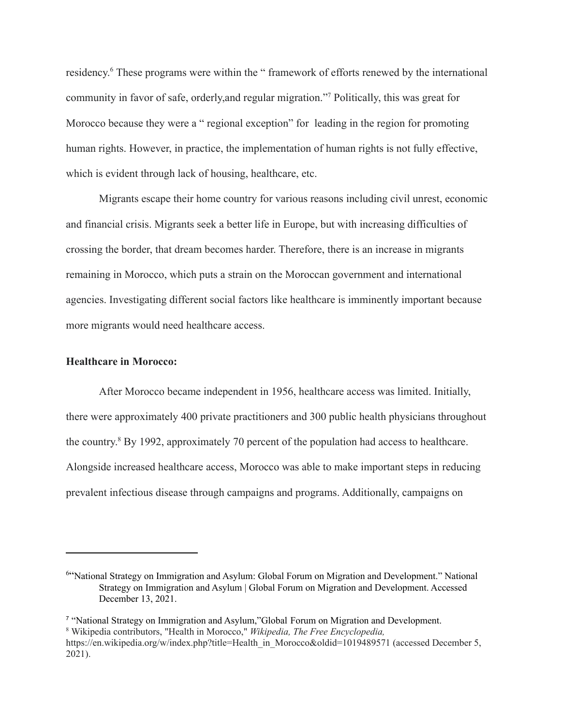residency.<sup>6</sup> These programs were within the "framework of efforts renewed by the international community in favor of safe, orderly,and regular migration."<sup>7</sup> Politically, this was great for Morocco because they were a " regional exception" for leading in the region for promoting human rights. However, in practice, the implementation of human rights is not fully effective, which is evident through lack of housing, healthcare, etc.

Migrants escape their home country for various reasons including civil unrest, economic and financial crisis. Migrants seek a better life in Europe, but with increasing difficulties of crossing the border, that dream becomes harder. Therefore, there is an increase in migrants remaining in Morocco, which puts a strain on the Moroccan government and international agencies. Investigating different social factors like healthcare is imminently important because more migrants would need healthcare access.

#### **Healthcare in Morocco:**

After Morocco became independent in 1956, healthcare access was limited. Initially, there were approximately 400 private practitioners and 300 public health physicians throughout the country. <sup>8</sup> By 1992, approximately 70 percent of the population had access to healthcare. Alongside increased healthcare access, Morocco was able to make important steps in reducing prevalent infectious disease through campaigns and programs. Additionally, campaigns on

<sup>&</sup>lt;sup>6"</sup>National Strategy on Immigration and Asylum: Global Forum on Migration and Development." National Strategy on Immigration and Asylum | Global Forum on Migration and Development. Accessed December 13, 2021.

<sup>8</sup> Wikipedia contributors, "Health in Morocco," *Wikipedia, The Free Encyclopedia,* [https://en.wikipedia.org/w/index.php?title=Health\\_in\\_Morocco&oldid=1019489571](https://en.wikipedia.org/w/index.php?title=Health_in_Morocco&oldid=1019489571) (accessed December 5, 2021). <sup>7</sup> "National Strategy on Immigration and Asylum,"Global Forum on Migration and Development.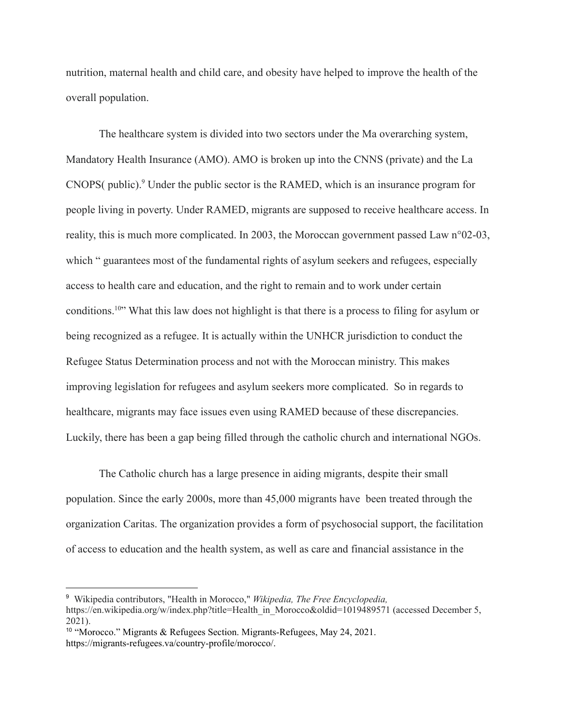nutrition, maternal health and child care, and obesity have helped to improve the health of the overall population.

The healthcare system is divided into two sectors under the Ma overarching system, Mandatory Health Insurance (AMO). AMO is broken up into the CNNS (private) and the La CNOPS( public).<sup>9</sup> Under the public sector is the RAMED, which is an insurance program for people living in poverty. Under RAMED, migrants are supposed to receive healthcare access. In reality, this is much more complicated. In 2003, the Moroccan government passed Law n°02-03, which " guarantees most of the fundamental rights of asylum seekers and refugees, especially access to health care and education, and the right to remain and to work under certain conditions.<sup>10</sup>" What this law does not highlight is that there is a process to filing for asylum or being recognized as a refugee. It is actually within the UNHCR jurisdiction to conduct the Refugee Status Determination process and not with the Moroccan ministry. This makes improving legislation for refugees and asylum seekers more complicated. So in regards to healthcare, migrants may face issues even using RAMED because of these discrepancies. Luckily, there has been a gap being filled through the catholic church and international NGOs.

The Catholic church has a large presence in aiding migrants, despite their small population. Since the early 2000s, more than 45,000 migrants have been treated through the organization Caritas. The organization provides a form of psychosocial support, the facilitation of access to education and the health system, as well as care and financial assistance in the

<sup>9</sup> Wikipedia contributors, "Health in Morocco," *Wikipedia, The Free Encyclopedia,* [https://en.wikipedia.org/w/index.php?title=Health\\_in\\_Morocco&oldid=1019489571](https://en.wikipedia.org/w/index.php?title=Health_in_Morocco&oldid=1019489571) (accessed December 5, 2021).

<sup>10</sup> "Morocco." Migrants & Refugees Section. Migrants-Refugees, May 24, 2021. https://migrants-refugees.va/country-profile/morocco/.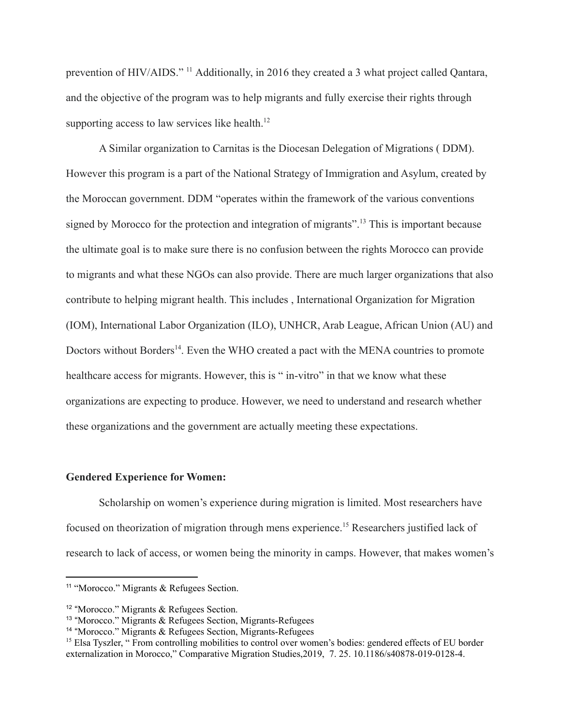prevention of HIV/AIDS." <sup>11</sup> Additionally, in 2016 they created a 3 what project called Qantara, and the objective of the program was to help migrants and fully exercise their rights through supporting access to law services like health. $12$ 

A Similar organization to Carnitas is the Diocesan Delegation of Migrations ( DDM). However this program is a part of the National Strategy of Immigration and Asylum, created by the Moroccan government. DDM "operates within the framework of the various conventions signed by Morocco for the protection and integration of migrants".<sup>13</sup> This is important because the ultimate goal is to make sure there is no confusion between the rights Morocco can provide to migrants and what these NGOs can also provide. There are much larger organizations that also contribute to helping migrant health. This includes , International Organization for Migration (IOM), International Labor Organization (ILO), UNHCR, Arab League, African Union (AU) and Doctors without Borders<sup>14</sup>. Even the WHO created a pact with the MENA countries to promote healthcare access for migrants. However, this is " in-vitro" in that we know what these organizations are expecting to produce. However, we need to understand and research whether these organizations and the government are actually meeting these expectations.

#### **Gendered Experience for Women:**

Scholarship on women's experience during migration is limited. Most researchers have focused on theorization of migration through mens experience.<sup>15</sup> Researchers justified lack of research to lack of access, or women being the minority in camps. However, that makes women's

<sup>11</sup> "Morocco." Migrants & Refugees Section.

<sup>&</sup>lt;sup>12</sup> "Morocco." Migrants & Refugees Section.

<sup>&</sup>lt;sup>13</sup> "Morocco." Migrants & Refugees Section, Migrants-Refugees

<sup>&</sup>lt;sup>14</sup> "Morocco." Migrants & Refugees Section, Migrants-Refugees

<sup>&</sup>lt;sup>15</sup> Elsa Tyszler, " From controlling mobilities to control over women's bodies: gendered effects of EU border externalization in Morocco," Comparative Migration Studies,2019, 7. 25. 10.1186/s40878-019-0128-4.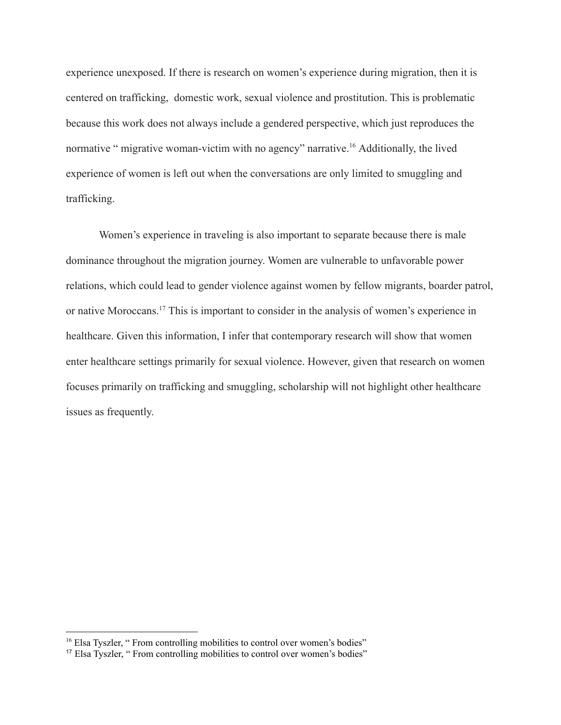experience unexposed. If there is research on women's experience during migration, then it is centered on trafficking, domestic work, sexual violence and prostitution. This is problematic because this work does not always include a gendered perspective, which just reproduces the normative " migrative woman-victim with no agency" narrative.<sup>16</sup> Additionally, the lived experience of women is left out when the conversations are only limited to smuggling and trafficking.

Women's experience in traveling is also important to separate because there is male dominance throughout the migration journey. Women are vulnerable to unfavorable power relations, which could lead to gender violence against women by fellow migrants, boarder patrol, or native Moroccans.<sup>17</sup> This is important to consider in the analysis of women's experience in healthcare. Given this information, I infer that contemporary research will show that women enter healthcare settings primarily for sexual violence. However, given that research on women focuses primarily on trafficking and smuggling, scholarship will not highlight other healthcare issues as frequently.

<sup>&</sup>lt;sup>16</sup> Elsa Tyszler, " From controlling mobilities to control over women's bodies"

<sup>17</sup> Elsa Tyszler, " From controlling mobilities to control over women's bodies"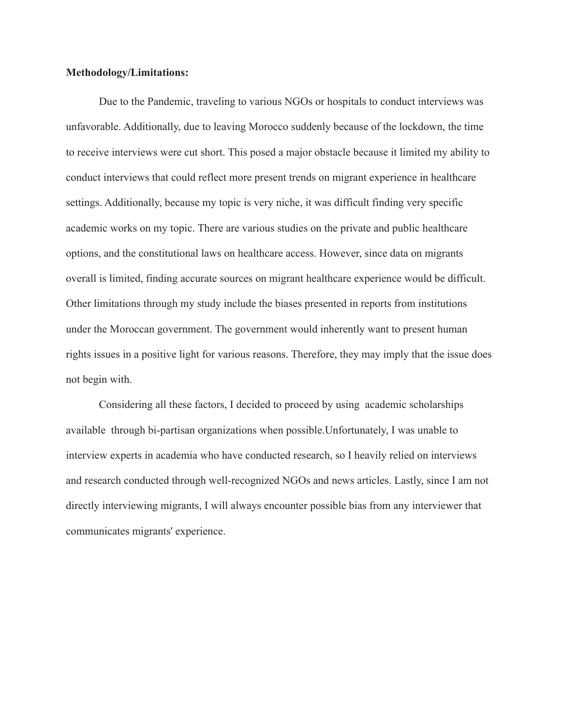#### **Methodology/Limitations:**

Due to the Pandemic, traveling to various NGOs or hospitals to conduct interviews was unfavorable. Additionally, due to leaving Morocco suddenly because of the lockdown, the time to receive interviews were cut short. This posed a major obstacle because it limited my ability to conduct interviews that could reflect more present trends on migrant experience in healthcare settings. Additionally, because my topic is very niche, it was difficult finding very specific academic works on my topic. There are various studies on the private and public healthcare options, and the constitutional laws on healthcare access. However, since data on migrants overall is limited, finding accurate sources on migrant healthcare experience would be difficult. Other limitations through my study include the biases presented in reports from institutions under the Moroccan government. The government would inherently want to present human rights issues in a positive light for various reasons. Therefore, they may imply that the issue does not begin with.

Considering all these factors, I decided to proceed by using academic scholarships available through bi-partisan organizations when possible.Unfortunately, I was unable to interview experts in academia who have conducted research, so I heavily relied on interviews and research conducted through well-recognized NGOs and news articles. Lastly, since I am not directly interviewing migrants, I will always encounter possible bias from any interviewer that communicates migrants' experience.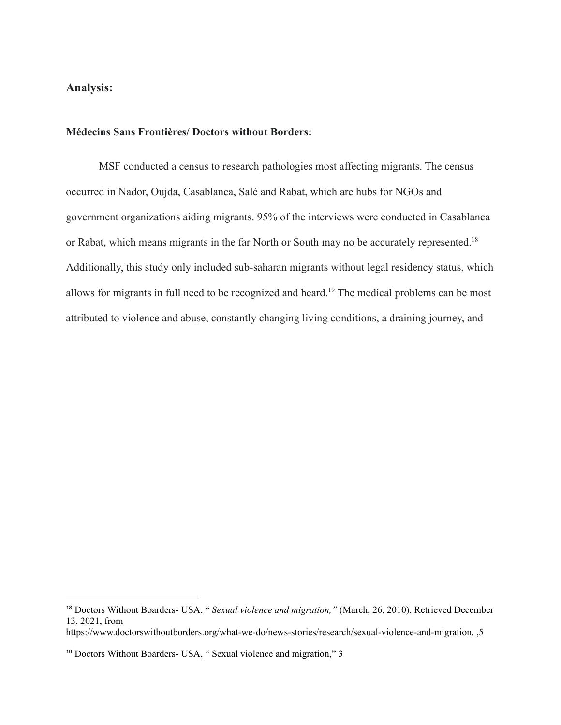## **Analysis:**

#### **Médecins Sans Frontières/ Doctors without Borders:**

MSF conducted a census to research pathologies most affecting migrants. The census occurred in Nador, Oujda, Casablanca, Salé and Rabat, which are hubs for NGOs and government organizations aiding migrants. 95% of the interviews were conducted in Casablanca or Rabat, which means migrants in the far North or South may no be accurately represented.<sup>18</sup> Additionally, this study only included sub-saharan migrants without legal residency status, which allows for migrants in full need to be recognized and heard.<sup>19</sup> The medical problems can be most attributed to violence and abuse, constantly changing living conditions, a draining journey, and

<sup>18</sup> Doctors Without Boarders- USA, " *Sexual violence and migration,"* (March, 26, 2010). Retrieved December 13, 2021, from

https://www.doctorswithoutborders.org/what-we-do/news-stories/research/sexual-violence-and-migration. ,5

<sup>19</sup> Doctors Without Boarders- USA, " Sexual violence and migration," 3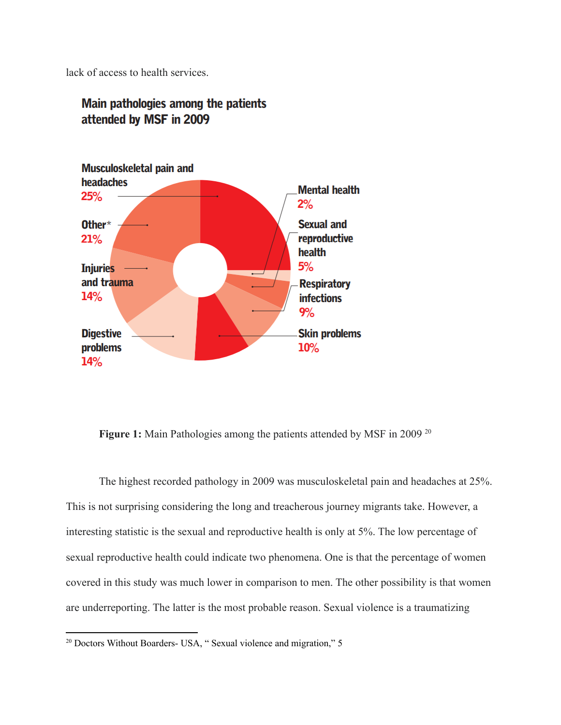lack of access to health services.



## Main pathologies among the patients attended by MSF in 2009

**Figure 1:** Main Pathologies among the patients attended by MSF in 2009<sup>20</sup>

The highest recorded pathology in 2009 was musculoskeletal pain and headaches at 25%. This is not surprising considering the long and treacherous journey migrants take. However, a interesting statistic is the sexual and reproductive health is only at 5%. The low percentage of sexual reproductive health could indicate two phenomena. One is that the percentage of women covered in this study was much lower in comparison to men. The other possibility is that women are underreporting. The latter is the most probable reason. Sexual violence is a traumatizing

<sup>&</sup>lt;sup>20</sup> Doctors Without Boarders- USA, " Sexual violence and migration," 5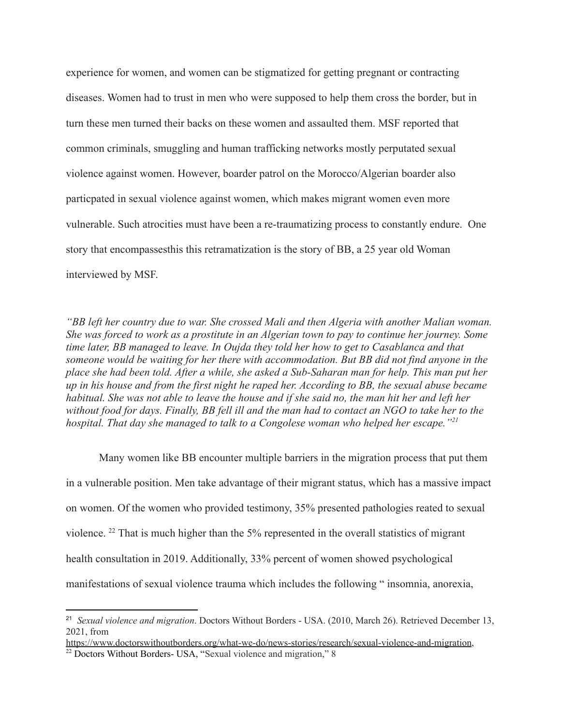experience for women, and women can be stigmatized for getting pregnant or contracting diseases. Women had to trust in men who were supposed to help them cross the border, but in turn these men turned their backs on these women and assaulted them. MSF reported that common criminals, smuggling and human trafficking networks mostly perputated sexual violence against women. However, boarder patrol on the Morocco/Algerian boarder also particpated in sexual violence against women, which makes migrant women even more vulnerable. Such atrocities must have been a re-traumatizing process to constantly endure. One story that encompassesthis this retramatization is the story of BB, a 25 year old Woman interviewed by MSF.

*"BB left her country due to war. She crossed Mali and then Algeria with another Malian woman. She was forced to work as a prostitute in an Algerian town to pay to continue her journey. Some time later, BB managed to leave. In Oujda they told her how to get to Casablanca and that someone would be waiting for her there with accommodation. But BB did not find anyone in the place she had been told. After a while, she asked a Sub-Saharan man for help. This man put her up in his house and from the first night he raped her. According to BB, the sexual abuse became habitual. She was not able to leave the house and if she said no, the man hit her and left her without food for days. Finally, BB fell ill and the man had to contact an NGO to take her to the hospital. That day she managed to talk to a Congolese woman who helped her escape."<sup>21</sup>*

Many women like BB encounter multiple barriers in the migration process that put them in a vulnerable position. Men take advantage of their migrant status, which has a massive impact on women. Of the women who provided testimony, 35% presented pathologies reated to sexual violence. <sup>22</sup> That is much higher than the 5% represented in the overall statistics of migrant health consultation in 2019. Additionally, 33% percent of women showed psychological manifestations of sexual violence trauma which includes the following " insomnia, anorexia,

<sup>21</sup> *Sexual violence and migration*. Doctors Without Borders - USA. (2010, March 26). Retrieved December 13, 2021, from

[https://www.doctorswithoutborders.org/what-we-do/news-stories/research/sexual-violence-and-migration,](https://www.doctorswithoutborders.org/what-we-do/news-stories/research/sexual-violence-and-migration)

<sup>&</sup>lt;sup>22</sup> Doctors Without Borders- USA, "Sexual violence and migration," 8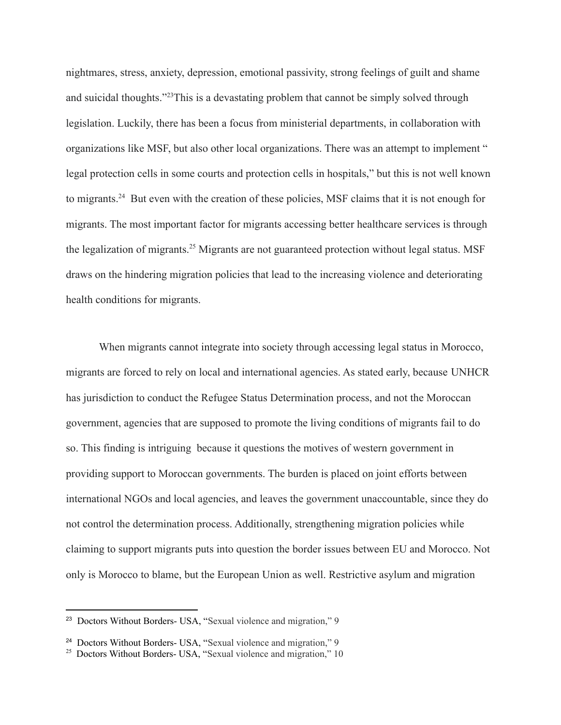nightmares, stress, anxiety, depression, emotional passivity, strong feelings of guilt and shame and suicidal thoughts."<sup>23</sup>This is a devastating problem that cannot be simply solved through legislation. Luckily, there has been a focus from ministerial departments, in collaboration with organizations like MSF, but also other local organizations. There was an attempt to implement " legal protection cells in some courts and protection cells in hospitals," but this is not well known to migrants.<sup>24</sup> But even with the creation of these policies, MSF claims that it is not enough for migrants. The most important factor for migrants accessing better healthcare services is through the legalization of migrants.<sup>25</sup> Migrants are not guaranteed protection without legal status. MSF draws on the hindering migration policies that lead to the increasing violence and deteriorating health conditions for migrants.

When migrants cannot integrate into society through accessing legal status in Morocco, migrants are forced to rely on local and international agencies. As stated early, because UNHCR has jurisdiction to conduct the Refugee Status Determination process, and not the Moroccan government, agencies that are supposed to promote the living conditions of migrants fail to do so. This finding is intriguing because it questions the motives of western government in providing support to Moroccan governments. The burden is placed on joint efforts between international NGOs and local agencies, and leaves the government unaccountable, since they do not control the determination process. Additionally, strengthening migration policies while claiming to support migrants puts into question the border issues between EU and Morocco. Not only is Morocco to blame, but the European Union as well. Restrictive asylum and migration

<sup>&</sup>lt;sup>23</sup> Doctors Without Borders- USA, "Sexual violence and migration," 9

<sup>24</sup> Doctors Without Borders- USA, "Sexual violence and migration," 9

<sup>&</sup>lt;sup>25</sup> Doctors Without Borders- USA, "Sexual violence and migration," 10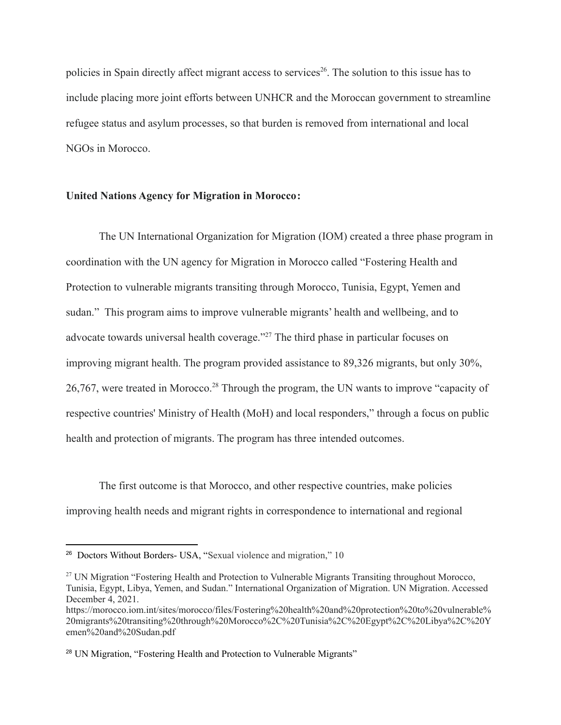policies in Spain directly affect migrant access to services<sup>26</sup>. The solution to this issue has to include placing more joint efforts between UNHCR and the Moroccan government to streamline refugee status and asylum processes, so that burden is removed from international and local NGOs in Morocco.

#### **United Nations Agency for Migration in Morocco:**

The UN International Organization for Migration (IOM) created a three phase program in coordination with the UN agency for Migration in Morocco called "Fostering Health and Protection to vulnerable migrants transiting through Morocco, Tunisia, Egypt, Yemen and sudan." This program aims to improve vulnerable migrants' health and wellbeing, and to advocate towards universal health coverage."<sup>27</sup> The third phase in particular focuses on improving migrant health. The program provided assistance to 89,326 migrants, but only 30%, 26,767, were treated in Morocco.<sup>28</sup> Through the program, the UN wants to improve "capacity of respective countries' Ministry of Health (MoH) and local responders," through a focus on public health and protection of migrants. The program has three intended outcomes.

The first outcome is that Morocco, and other respective countries, make policies improving health needs and migrant rights in correspondence to international and regional

<sup>&</sup>lt;sup>26</sup> Doctors Without Borders- USA, "Sexual violence and migration," 10

<sup>&</sup>lt;sup>27</sup> UN Migration "Fostering Health and Protection to Vulnerable Migrants Transiting throughout Morocco, Tunisia, Egypt, Libya, Yemen, and Sudan." International Organization of Migration. UN Migration. Accessed December 4, 2021.

https://morocco.iom.int/sites/morocco/files/Fostering%20health%20and%20protection%20to%20vulnerable% 20migrants%20transiting%20through%20Morocco%2C%20Tunisia%2C%20Egypt%2C%20Libya%2C%20Y emen%20and%20Sudan.pdf

<sup>&</sup>lt;sup>28</sup> UN Migration, "Fostering Health and Protection to Vulnerable Migrants"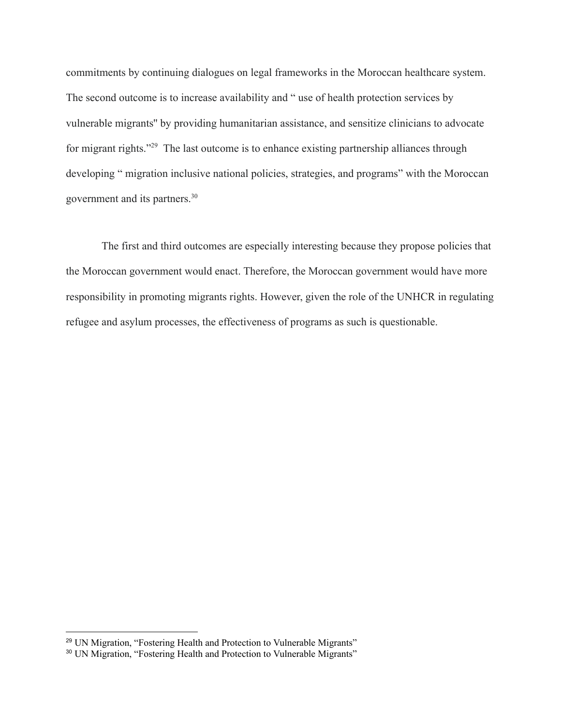commitments by continuing dialogues on legal frameworks in the Moroccan healthcare system. The second outcome is to increase availability and " use of health protection services by vulnerable migrants'' by providing humanitarian assistance, and sensitize clinicians to advocate for migrant rights."<sup>29</sup> The last outcome is to enhance existing partnership alliances through developing " migration inclusive national policies, strategies, and programs" with the Moroccan government and its partners.<sup>30</sup>

The first and third outcomes are especially interesting because they propose policies that the Moroccan government would enact. Therefore, the Moroccan government would have more responsibility in promoting migrants rights. However, given the role of the UNHCR in regulating refugee and asylum processes, the effectiveness of programs as such is questionable.

<sup>&</sup>lt;sup>29</sup> UN Migration, "Fostering Health and Protection to Vulnerable Migrants"

<sup>&</sup>lt;sup>30</sup> UN Migration, "Fostering Health and Protection to Vulnerable Migrants"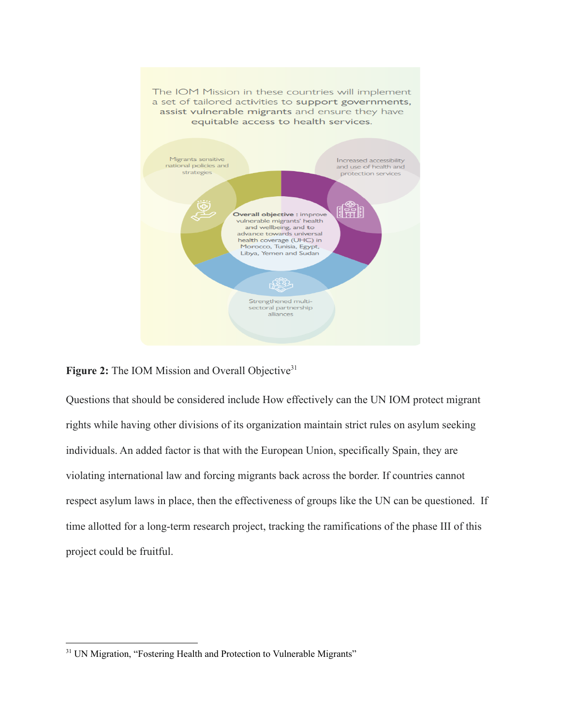

### **Figure 2:** The IOM Mission and Overall Objective<sup>31</sup>

Questions that should be considered include How effectively can the UN IOM protect migrant rights while having other divisions of its organization maintain strict rules on asylum seeking individuals. An added factor is that with the European Union, specifically Spain, they are violating international law and forcing migrants back across the border. If countries cannot respect asylum laws in place, then the effectiveness of groups like the UN can be questioned. If time allotted for a long-term research project, tracking the ramifications of the phase III of this project could be fruitful.

<sup>&</sup>lt;sup>31</sup> UN Migration, "Fostering Health and Protection to Vulnerable Migrants"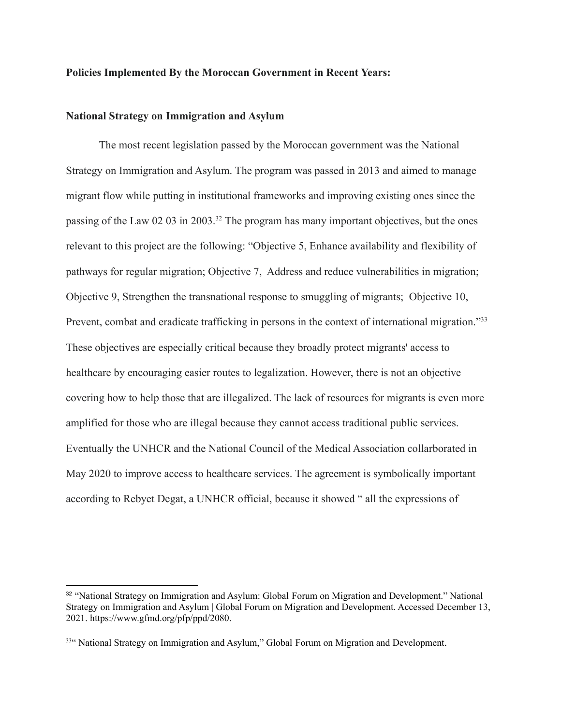#### **Policies Implemented By the Moroccan Government in Recent Years:**

#### **National Strategy on Immigration and Asylum**

The most recent legislation passed by the Moroccan government was the National Strategy on Immigration and Asylum. The program was passed in 2013 and aimed to manage migrant flow while putting in institutional frameworks and improving existing ones since the passing of the Law 02 03 in 2003.<sup>32</sup> The program has many important objectives, but the ones relevant to this project are the following: "Objective 5, Enhance availability and flexibility of pathways for regular migration; Objective 7, Address and reduce vulnerabilities in migration; Objective 9, Strengthen the transnational response to smuggling of migrants; Objective 10, Prevent, combat and eradicate trafficking in persons in the context of international migration."<sup>33</sup> These objectives are especially critical because they broadly protect migrants' access to healthcare by encouraging easier routes to legalization. However, there is not an objective covering how to help those that are illegalized. The lack of resources for migrants is even more amplified for those who are illegal because they cannot access traditional public services. Eventually the UNHCR and the National Council of the Medical Association collarborated in May 2020 to improve access to healthcare services. The agreement is symbolically important according to Rebyet Degat, a UNHCR official, because it showed " all the expressions of

<sup>&</sup>lt;sup>32</sup> "National Strategy on Immigration and Asylum: Global Forum on Migration and Development." National Strategy on Immigration and Asylum | Global Forum on Migration and Development. Accessed December 13, 2021. https://www.gfmd.org/pfp/ppd/2080.

<sup>33&</sup>quot; National Strategy on Immigration and Asylum," Global Forum on Migration and Development.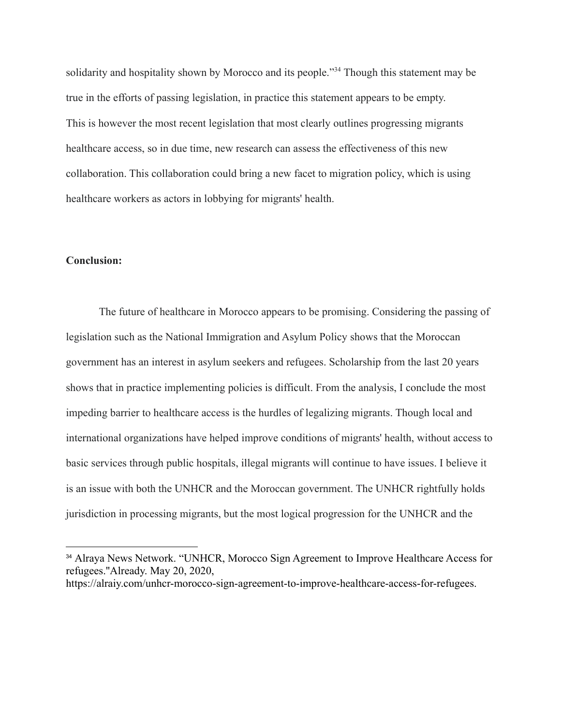solidarity and hospitality shown by Morocco and its people."<sup>34</sup> Though this statement may be true in the efforts of passing legislation, in practice this statement appears to be empty. This is however the most recent legislation that most clearly outlines progressing migrants healthcare access, so in due time, new research can assess the effectiveness of this new collaboration. This collaboration could bring a new facet to migration policy, which is using healthcare workers as actors in lobbying for migrants' health.

#### **Conclusion:**

The future of healthcare in Morocco appears to be promising. Considering the passing of legislation such as the National Immigration and Asylum Policy shows that the Moroccan government has an interest in asylum seekers and refugees. Scholarship from the last 20 years shows that in practice implementing policies is difficult. From the analysis, I conclude the most impeding barrier to healthcare access is the hurdles of legalizing migrants. Though local and international organizations have helped improve conditions of migrants' health, without access to basic services through public hospitals, illegal migrants will continue to have issues. I believe it is an issue with both the UNHCR and the Moroccan government. The UNHCR rightfully holds jurisdiction in processing migrants, but the most logical progression for the UNHCR and the

<sup>34</sup> Alraya News Network. "UNHCR, Morocco Sign Agreement to Improve Healthcare Access for refugees.''Already. May 20, 2020, https://alraiy.com/unhcr-morocco-sign-agreement-to-improve-healthcare-access-for-refugees.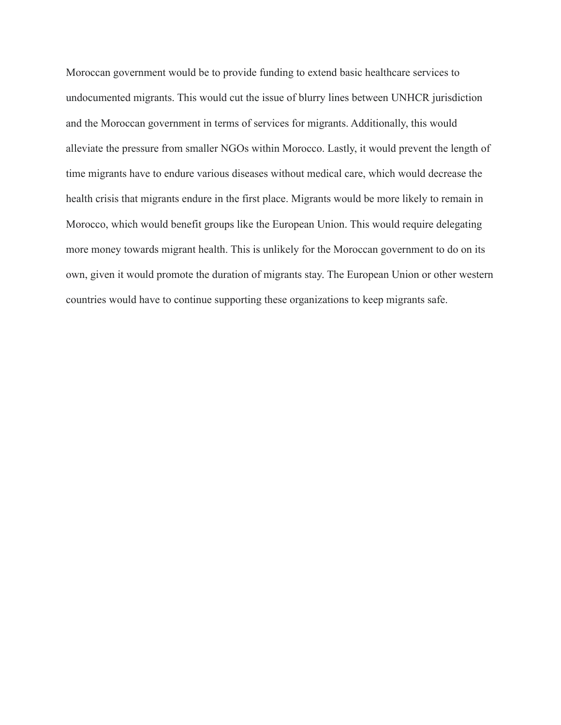Moroccan government would be to provide funding to extend basic healthcare services to undocumented migrants. This would cut the issue of blurry lines between UNHCR jurisdiction and the Moroccan government in terms of services for migrants. Additionally, this would alleviate the pressure from smaller NGOs within Morocco. Lastly, it would prevent the length of time migrants have to endure various diseases without medical care, which would decrease the health crisis that migrants endure in the first place. Migrants would be more likely to remain in Morocco, which would benefit groups like the European Union. This would require delegating more money towards migrant health. This is unlikely for the Moroccan government to do on its own, given it would promote the duration of migrants stay. The European Union or other western countries would have to continue supporting these organizations to keep migrants safe.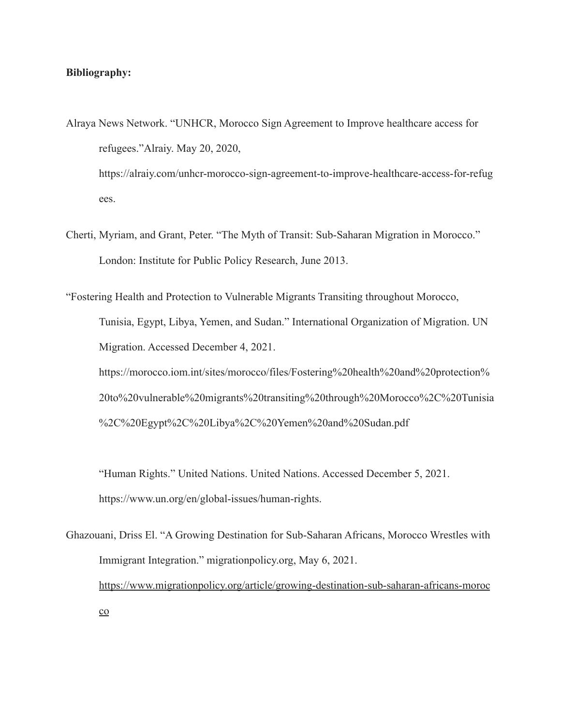#### **Bibliography:**

- Alraya News Network. "UNHCR, Morocco Sign Agreement to Improve healthcare access for refugees."Alraiy. May 20, 2020, https://alraiy.com/unhcr-morocco-sign-agreement-to-improve-healthcare-access-for-refug ees.
- Cherti, Myriam, and Grant, Peter. "The Myth of Transit: Sub-Saharan Migration in Morocco." London: Institute for Public Policy Research, June 2013.

"Fostering Health and Protection to Vulnerable Migrants Transiting throughout Morocco, Tunisia, Egypt, Libya, Yemen, and Sudan." International Organization of Migration. UN Migration. Accessed December 4, 2021. https://morocco.iom.int/sites/morocco/files/Fostering%20health%20and%20protection% 20to%20vulnerable%20migrants%20transiting%20through%20Morocco%2C%20Tunisia %2C%20Egypt%2C%20Libya%2C%20Yemen%20and%20Sudan.pdf

"Human Rights." United Nations. United Nations. Accessed December 5, 2021. https://www.un.org/en/global-issues/human-rights.

Ghazouani, Driss El. "A Growing Destination for Sub-Saharan Africans, Morocco Wrestles with Immigrant Integration." migrationpolicy.org, May 6, 2021. [https://www.migrationpolicy.org/article/growing-destination-sub-saharan-africans-moroc](https://www.migrationpolicy.org/article/growing-destination-sub-saharan-africans-morocco)  $\underline{\mathrm{co}}$  $\underline{\mathrm{co}}$  $\underline{\mathrm{co}}$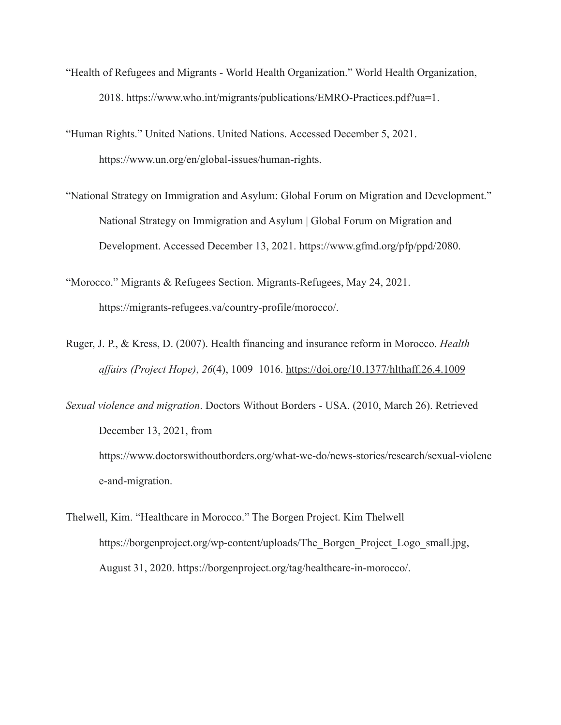- "Health of Refugees and Migrants World Health Organization." World Health Organization, 2018. https://www.who.int/migrants/publications/EMRO-Practices.pdf?ua=1.
- "Human Rights." United Nations. United Nations. Accessed December 5, 2021. https://www.un.org/en/global-issues/human-rights.
- "National Strategy on Immigration and Asylum: Global Forum on Migration and Development." National Strategy on Immigration and Asylum | Global Forum on Migration and Development. Accessed December 13, 2021. https://www.gfmd.org/pfp/ppd/2080.
- "Morocco." Migrants & Refugees Section. Migrants-Refugees, May 24, 2021. https://migrants-refugees.va/country-profile/morocco/.
- Ruger, J. P., & Kress, D. (2007). Health financing and insurance reform in Morocco. *Health affairs (Project Hope)*, *26*(4), 1009–1016. <https://doi.org/10.1377/hlthaff.26.4.1009>
- *Sexual violence and migration*. Doctors Without Borders USA. (2010, March 26). Retrieved December 13, 2021, from https://www.doctorswithoutborders.org/what-we-do/news-stories/research/sexual-violenc e-and-migration.
- Thelwell, Kim. "Healthcare in Morocco." The Borgen Project. Kim Thelwell https://borgenproject.org/wp-content/uploads/The\_Borgen\_Project\_Logo\_small.jpg, August 31, 2020. https://borgenproject.org/tag/healthcare-in-morocco/.